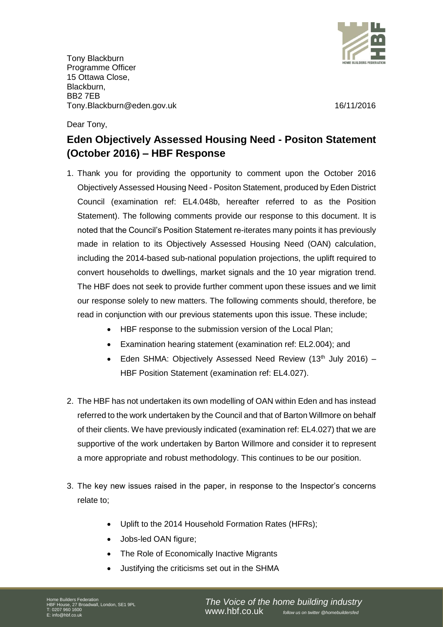

Tony Blackburn Programme Officer 15 Ottawa Close, Blackburn, BB2 7EB Tony.Blackburn@eden.gov.uk 16/11/2016

Dear Tony,

# **Eden Objectively Assessed Housing Need - Positon Statement (October 2016) – HBF Response**

- 1. Thank you for providing the opportunity to comment upon the October 2016 Objectively Assessed Housing Need - Positon Statement, produced by Eden District Council (examination ref: EL4.048b, hereafter referred to as the Position Statement). The following comments provide our response to this document. It is noted that the Council's Position Statement re-iterates many points it has previously made in relation to its Objectively Assessed Housing Need (OAN) calculation, including the 2014-based sub-national population projections, the uplift required to convert households to dwellings, market signals and the 10 year migration trend. The HBF does not seek to provide further comment upon these issues and we limit our response solely to new matters. The following comments should, therefore, be read in conjunction with our previous statements upon this issue. These include;
	- HBF response to the submission version of the Local Plan;
	- Examination hearing statement (examination ref: EL2.004); and
	- Eden SHMA: Objectively Assessed Need Review (13<sup>th</sup> July 2016) -HBF Position Statement (examination ref: EL4.027).
- 2. The HBF has not undertaken its own modelling of OAN within Eden and has instead referred to the work undertaken by the Council and that of Barton Willmore on behalf of their clients. We have previously indicated (examination ref: EL4.027) that we are supportive of the work undertaken by Barton Willmore and consider it to represent a more appropriate and robust methodology. This continues to be our position.
- 3. The key new issues raised in the paper, in response to the Inspector's concerns relate to;
	- Uplift to the 2014 Household Formation Rates (HFRs);
	- Jobs-led OAN figure;
	- The Role of Economically Inactive Migrants
	- Justifying the criticisms set out in the SHMA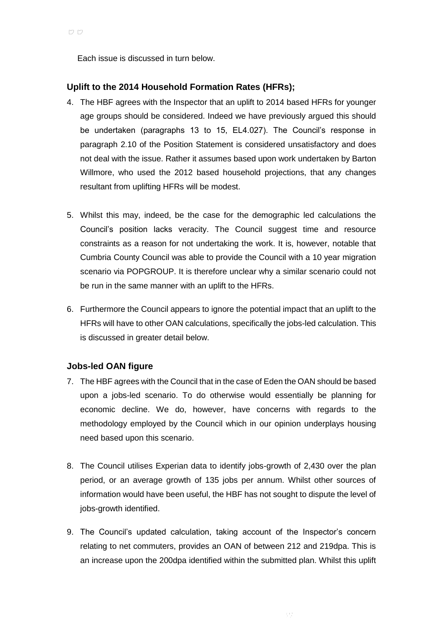Each issue is discussed in turn below.

# **Uplift to the 2014 Household Formation Rates (HFRs);**

- 4. The HBF agrees with the Inspector that an uplift to 2014 based HFRs for younger age groups should be considered. Indeed we have previously argued this should be undertaken (paragraphs 13 to 15, EL4.027). The Council's response in paragraph 2.10 of the Position Statement is considered unsatisfactory and does not deal with the issue. Rather it assumes based upon work undertaken by Barton Willmore, who used the 2012 based household projections, that any changes resultant from uplifting HFRs will be modest.
- 5. Whilst this may, indeed, be the case for the demographic led calculations the Council's position lacks veracity. The Council suggest time and resource constraints as a reason for not undertaking the work. It is, however, notable that Cumbria County Council was able to provide the Council with a 10 year migration scenario via POPGROUP. It is therefore unclear why a similar scenario could not be run in the same manner with an uplift to the HFRs.
- 6. Furthermore the Council appears to ignore the potential impact that an uplift to the HFRs will have to other OAN calculations, specifically the jobs-led calculation. This is discussed in greater detail below.

# **Jobs-led OAN figure**

- 7. The HBF agrees with the Council that in the case of Eden the OAN should be based upon a jobs-led scenario. To do otherwise would essentially be planning for economic decline. We do, however, have concerns with regards to the methodology employed by the Council which in our opinion underplays housing need based upon this scenario.
- 8. The Council utilises Experian data to identify jobs-growth of 2,430 over the plan period, or an average growth of 135 jobs per annum. Whilst other sources of information would have been useful, the HBF has not sought to dispute the level of jobs-growth identified.
- 9. The Council's updated calculation, taking account of the Inspector's concern relating to net commuters, provides an OAN of between 212 and 219dpa. This is an increase upon the 200dpa identified within the submitted plan. Whilst this uplift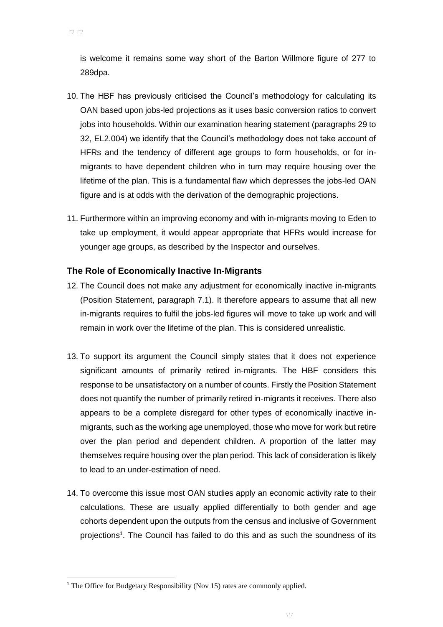is welcome it remains some way short of the Barton Willmore figure of 277 to 289dpa.

- 10. The HBF has previously criticised the Council's methodology for calculating its OAN based upon jobs-led projections as it uses basic conversion ratios to convert jobs into households. Within our examination hearing statement (paragraphs 29 to 32, EL2.004) we identify that the Council's methodology does not take account of HFRs and the tendency of different age groups to form households, or for inmigrants to have dependent children who in turn may require housing over the lifetime of the plan. This is a fundamental flaw which depresses the jobs-led OAN figure and is at odds with the derivation of the demographic projections.
- 11. Furthermore within an improving economy and with in-migrants moving to Eden to take up employment, it would appear appropriate that HFRs would increase for younger age groups, as described by the Inspector and ourselves.

# **The Role of Economically Inactive In-Migrants**

- 12. The Council does not make any adjustment for economically inactive in-migrants (Position Statement, paragraph 7.1). It therefore appears to assume that all new in-migrants requires to fulfil the jobs-led figures will move to take up work and will remain in work over the lifetime of the plan. This is considered unrealistic.
- 13. To support its argument the Council simply states that it does not experience significant amounts of primarily retired in-migrants. The HBF considers this response to be unsatisfactory on a number of counts. Firstly the Position Statement does not quantify the number of primarily retired in-migrants it receives. There also appears to be a complete disregard for other types of economically inactive inmigrants, such as the working age unemployed, those who move for work but retire over the plan period and dependent children. A proportion of the latter may themselves require housing over the plan period. This lack of consideration is likely to lead to an under-estimation of need.
- 14. To overcome this issue most OAN studies apply an economic activity rate to their calculations. These are usually applied differentially to both gender and age cohorts dependent upon the outputs from the census and inclusive of Government projections<sup>1</sup>. The Council has failed to do this and as such the soundness of its

l

<sup>&</sup>lt;sup>1</sup> The Office for Budgetary Responsibility (Nov 15) rates are commonly applied.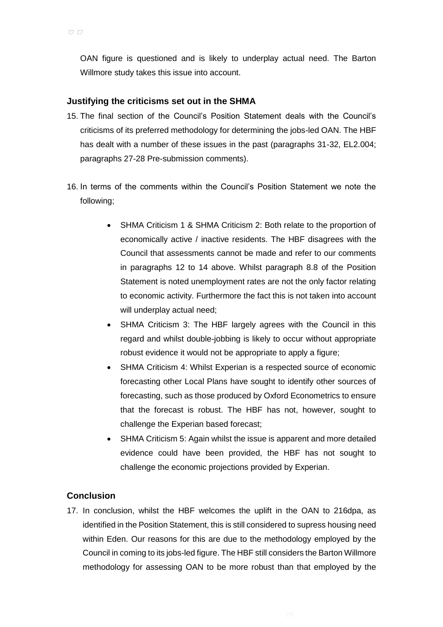OAN figure is questioned and is likely to underplay actual need. The Barton Willmore study takes this issue into account.

#### **Justifying the criticisms set out in the SHMA**

- 15. The final section of the Council's Position Statement deals with the Council's criticisms of its preferred methodology for determining the jobs-led OAN. The HBF has dealt with a number of these issues in the past (paragraphs 31-32, EL2.004; paragraphs 27-28 Pre-submission comments).
- 16. In terms of the comments within the Council's Position Statement we note the following;
	- SHMA Criticism 1 & SHMA Criticism 2: Both relate to the proportion of economically active / inactive residents. The HBF disagrees with the Council that assessments cannot be made and refer to our comments in paragraphs 12 to 14 above. Whilst paragraph 8.8 of the Position Statement is noted unemployment rates are not the only factor relating to economic activity. Furthermore the fact this is not taken into account will underplay actual need;
	- SHMA Criticism 3: The HBF largely agrees with the Council in this regard and whilst double-jobbing is likely to occur without appropriate robust evidence it would not be appropriate to apply a figure;
	- SHMA Criticism 4: Whilst Experian is a respected source of economic forecasting other Local Plans have sought to identify other sources of forecasting, such as those produced by Oxford Econometrics to ensure that the forecast is robust. The HBF has not, however, sought to challenge the Experian based forecast;
	- SHMA Criticism 5: Again whilst the issue is apparent and more detailed evidence could have been provided, the HBF has not sought to challenge the economic projections provided by Experian.

# **Conclusion**

17. In conclusion, whilst the HBF welcomes the uplift in the OAN to 216dpa, as identified in the Position Statement, this is still considered to supress housing need within Eden. Our reasons for this are due to the methodology employed by the Council in coming to its jobs-led figure. The HBF still considers the Barton Willmore methodology for assessing OAN to be more robust than that employed by the